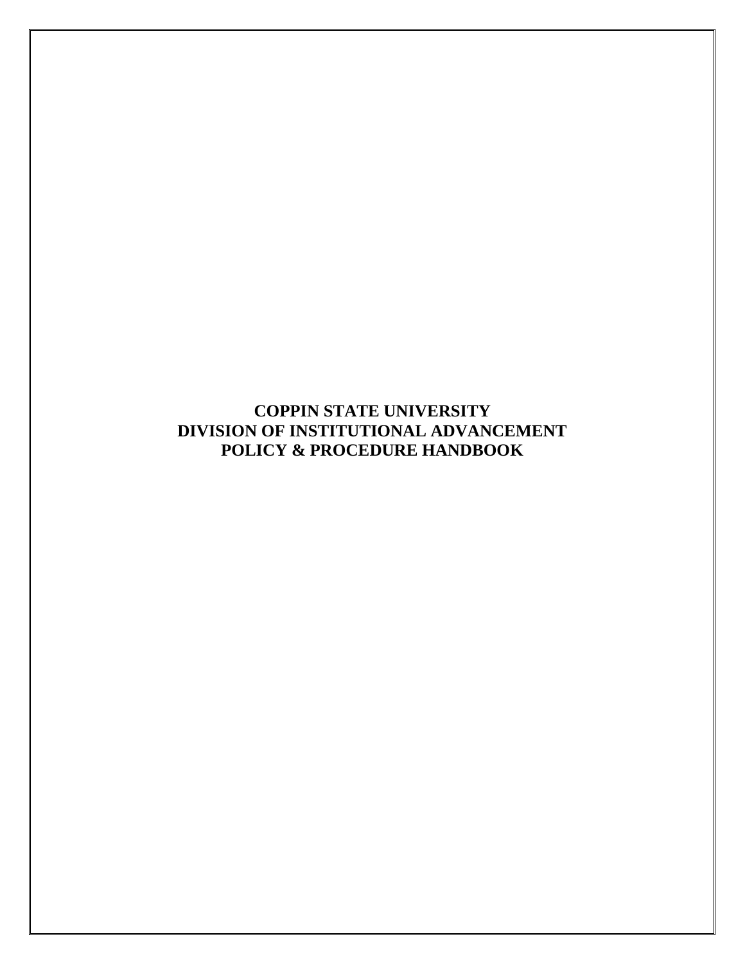**COPPIN STATE UNIVERSITY DIVISION OF INSTITUTIONAL ADVANCEMENT POLICY & PROCEDURE HANDBOOK**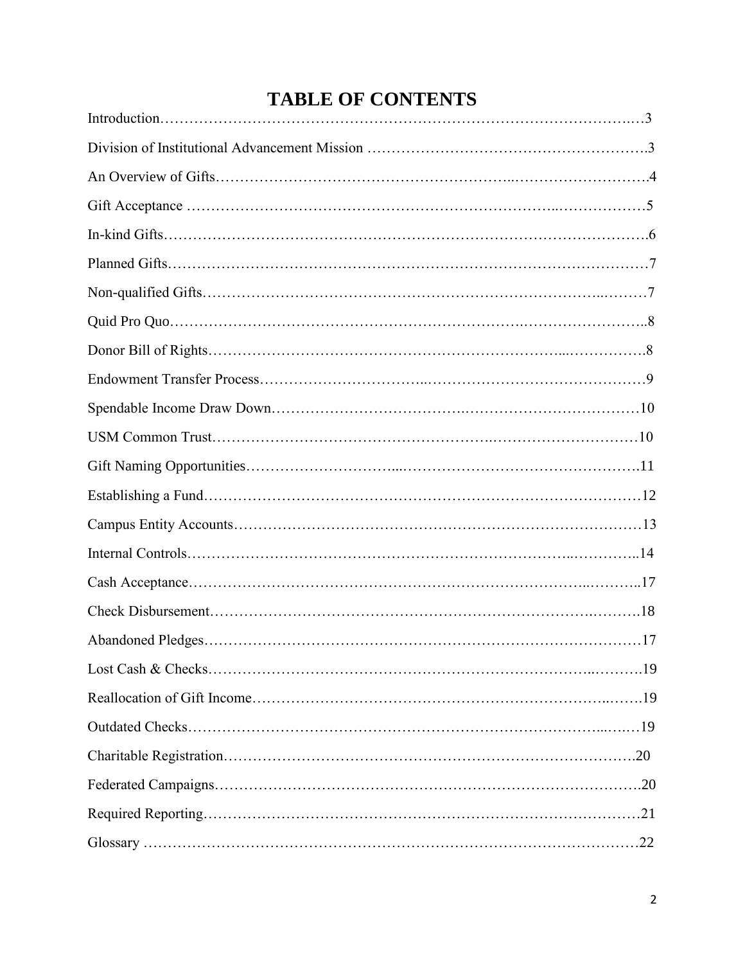# **TABLE OF CONTENTS**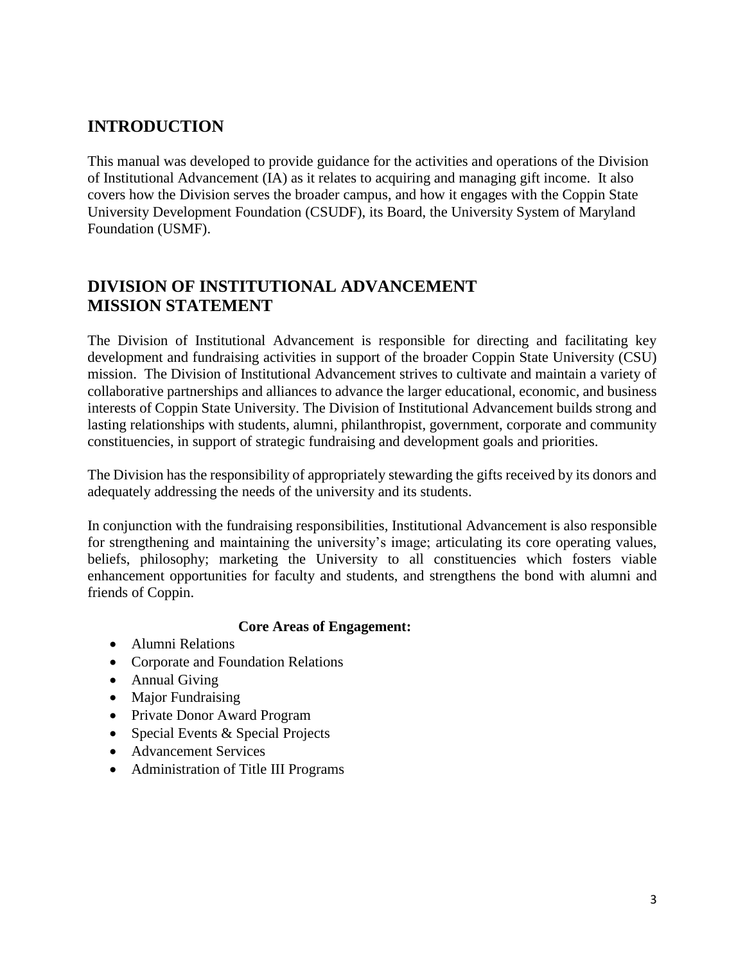# **INTRODUCTION**

This manual was developed to provide guidance for the activities and operations of the Division of Institutional Advancement (IA) as it relates to acquiring and managing gift income. It also covers how the Division serves the broader campus, and how it engages with the Coppin State University Development Foundation (CSUDF), its Board, the University System of Maryland Foundation (USMF).

### **DIVISION OF INSTITUTIONAL ADVANCEMENT MISSION STATEMENT**

The Division of Institutional Advancement is responsible for directing and facilitating key development and fundraising activities in support of the broader Coppin State University (CSU) mission. The Division of Institutional Advancement strives to cultivate and maintain a variety of collaborative partnerships and alliances to advance the larger educational, economic, and business interests of Coppin State University. The Division of Institutional Advancement builds strong and lasting relationships with students, alumni, philanthropist, government, corporate and community constituencies, in support of strategic fundraising and development goals and priorities.

The Division has the responsibility of appropriately stewarding the gifts received by its donors and adequately addressing the needs of the university and its students.

In conjunction with the fundraising responsibilities, Institutional Advancement is also responsible for strengthening and maintaining the university's image; articulating its core operating values, beliefs, philosophy; marketing the University to all constituencies which fosters viable enhancement opportunities for faculty and students, and strengthens the bond with alumni and friends of Coppin.

#### **Core Areas of Engagement:**

- Alumni Relations
- Corporate and Foundation Relations
- Annual Giving
- Major Fundraising
- Private Donor Award Program
- Special Events & Special Projects
- Advancement Services
- Administration of Title III Programs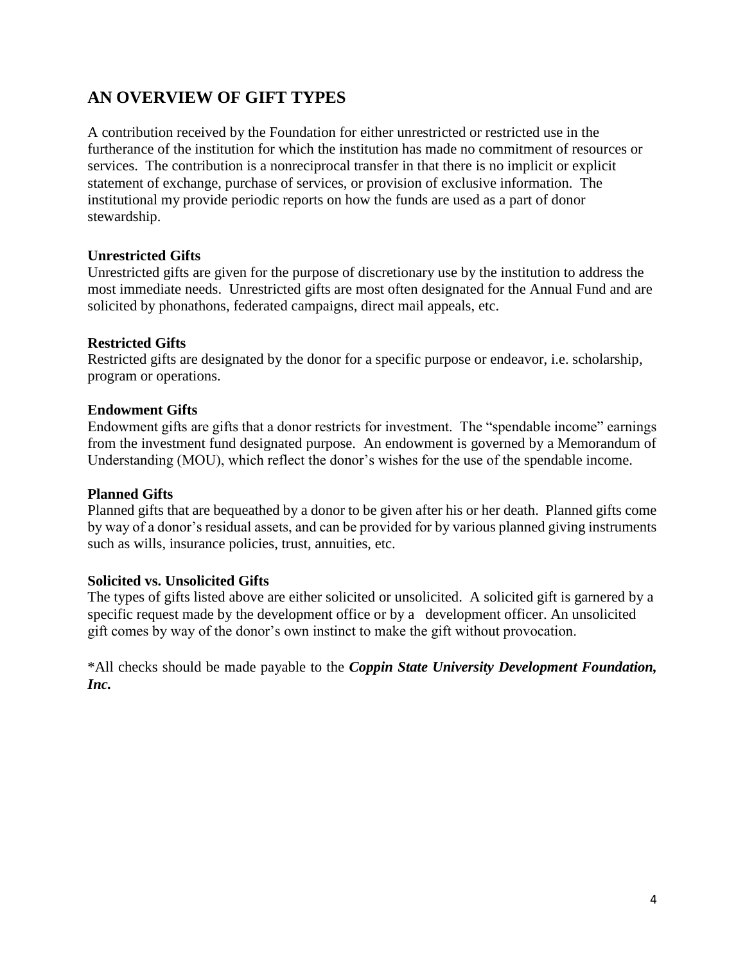### **AN OVERVIEW OF GIFT TYPES**

A contribution received by the Foundation for either unrestricted or restricted use in the furtherance of the institution for which the institution has made no commitment of resources or services. The contribution is a nonreciprocal transfer in that there is no implicit or explicit statement of exchange, purchase of services, or provision of exclusive information. The institutional my provide periodic reports on how the funds are used as a part of donor stewardship.

#### **Unrestricted Gifts**

Unrestricted gifts are given for the purpose of discretionary use by the institution to address the most immediate needs. Unrestricted gifts are most often designated for the Annual Fund and are solicited by phonathons, federated campaigns, direct mail appeals, etc.

#### **Restricted Gifts**

Restricted gifts are designated by the donor for a specific purpose or endeavor, i.e. scholarship, program or operations.

#### **Endowment Gifts**

Endowment gifts are gifts that a donor restricts for investment. The "spendable income" earnings from the investment fund designated purpose. An endowment is governed by a Memorandum of Understanding (MOU), which reflect the donor's wishes for the use of the spendable income.

#### **Planned Gifts**

Planned gifts that are bequeathed by a donor to be given after his or her death. Planned gifts come by way of a donor's residual assets, and can be provided for by various planned giving instruments such as wills, insurance policies, trust, annuities, etc.

#### **Solicited vs. Unsolicited Gifts**

The types of gifts listed above are either solicited or unsolicited. A solicited gift is garnered by a specific request made by the development office or by a development officer. An unsolicited gift comes by way of the donor's own instinct to make the gift without provocation.

\*All checks should be made payable to the *Coppin State University Development Foundation, Inc.*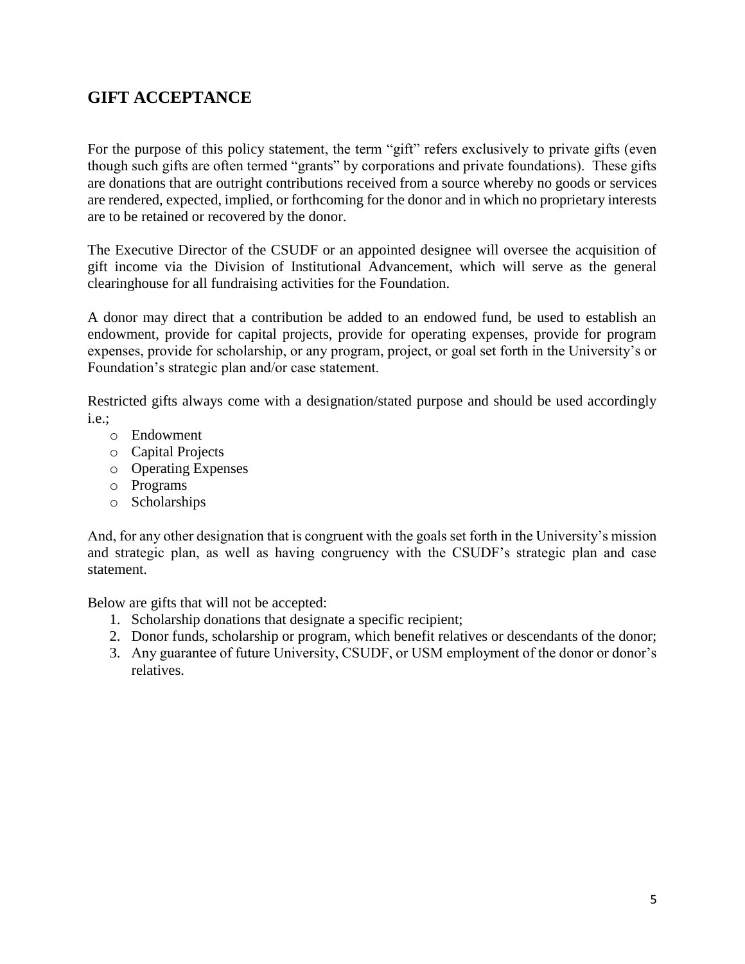### **GIFT ACCEPTANCE**

For the purpose of this policy statement, the term "gift" refers exclusively to private gifts (even though such gifts are often termed "grants" by corporations and private foundations). These gifts are donations that are outright contributions received from a source whereby no goods or services are rendered, expected, implied, or forthcoming for the donor and in which no proprietary interests are to be retained or recovered by the donor.

The Executive Director of the CSUDF or an appointed designee will oversee the acquisition of gift income via the Division of Institutional Advancement, which will serve as the general clearinghouse for all fundraising activities for the Foundation.

A donor may direct that a contribution be added to an endowed fund, be used to establish an endowment, provide for capital projects, provide for operating expenses, provide for program expenses, provide for scholarship, or any program, project, or goal set forth in the University's or Foundation's strategic plan and/or case statement.

Restricted gifts always come with a designation/stated purpose and should be used accordingly i.e.;

- o Endowment
- o Capital Projects
- o Operating Expenses
- o Programs
- o Scholarships

And, for any other designation that is congruent with the goals set forth in the University's mission and strategic plan, as well as having congruency with the CSUDF's strategic plan and case statement.

Below are gifts that will not be accepted:

- 1. Scholarship donations that designate a specific recipient;
- 2. Donor funds, scholarship or program, which benefit relatives or descendants of the donor;
- 3. Any guarantee of future University, CSUDF, or USM employment of the donor or donor's relatives.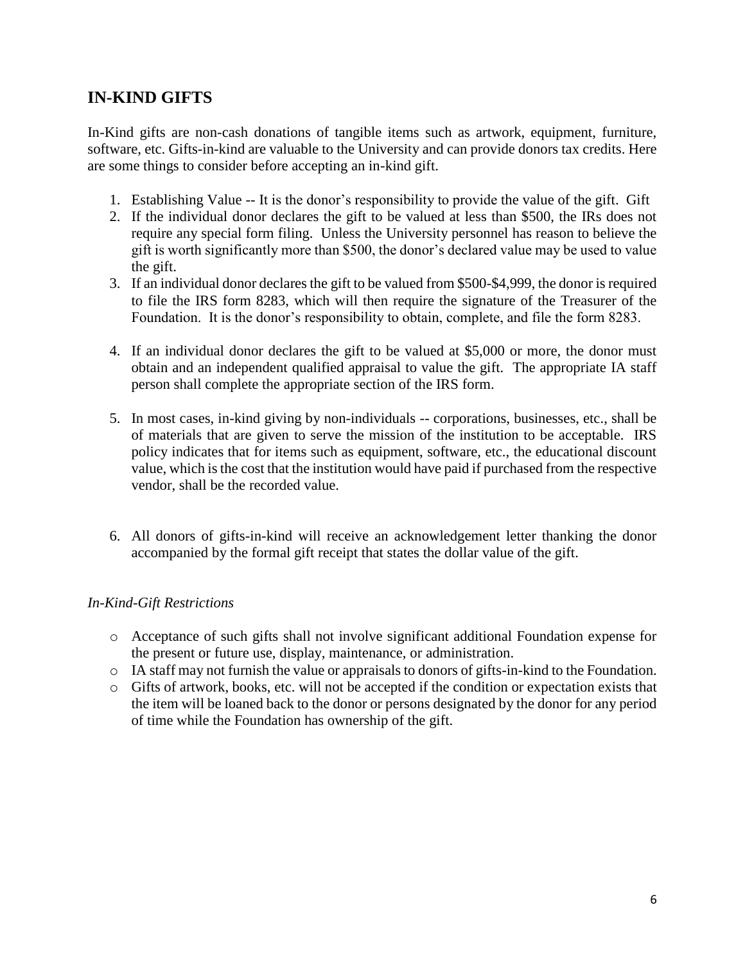### **IN-KIND GIFTS**

In-Kind gifts are non-cash donations of tangible items such as artwork, equipment, furniture, software, etc. Gifts-in-kind are valuable to the University and can provide donors tax credits. Here are some things to consider before accepting an in-kind gift.

- 1. Establishing Value -- It is the donor's responsibility to provide the value of the gift. Gift
- 2. If the individual donor declares the gift to be valued at less than \$500, the IRs does not require any special form filing. Unless the University personnel has reason to believe the gift is worth significantly more than \$500, the donor's declared value may be used to value the gift.
- 3. If an individual donor declares the gift to be valued from \$500-\$4,999, the donor is required to file the IRS form 8283, which will then require the signature of the Treasurer of the Foundation. It is the donor's responsibility to obtain, complete, and file the form 8283.
- 4. If an individual donor declares the gift to be valued at \$5,000 or more, the donor must obtain and an independent qualified appraisal to value the gift. The appropriate IA staff person shall complete the appropriate section of the IRS form.
- 5. In most cases, in-kind giving by non-individuals -- corporations, businesses, etc., shall be of materials that are given to serve the mission of the institution to be acceptable. IRS policy indicates that for items such as equipment, software, etc., the educational discount value, which is the cost that the institution would have paid if purchased from the respective vendor, shall be the recorded value.
- 6. All donors of gifts-in-kind will receive an acknowledgement letter thanking the donor accompanied by the formal gift receipt that states the dollar value of the gift.

#### *In-Kind-Gift Restrictions*

- o Acceptance of such gifts shall not involve significant additional Foundation expense for the present or future use, display, maintenance, or administration.
- o IA staff may not furnish the value or appraisals to donors of gifts-in-kind to the Foundation.
- o Gifts of artwork, books, etc. will not be accepted if the condition or expectation exists that the item will be loaned back to the donor or persons designated by the donor for any period of time while the Foundation has ownership of the gift.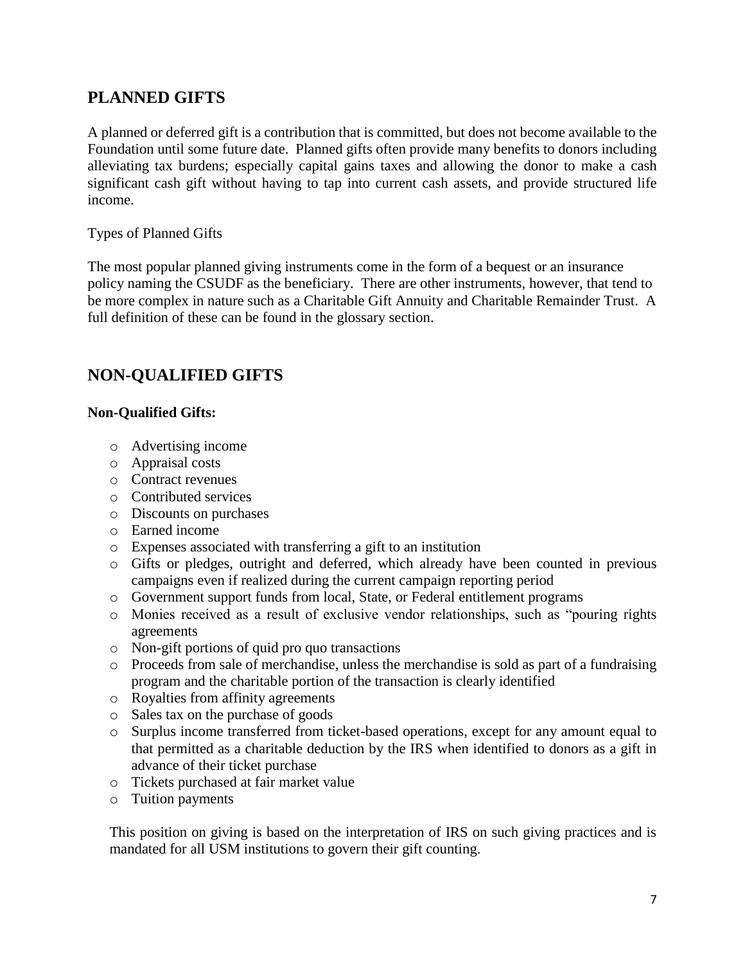### **PLANNED GIFTS**

A planned or deferred gift is a contribution that is committed, but does not become available to the Foundation until some future date. Planned gifts often provide many benefits to donors including alleviating tax burdens; especially capital gains taxes and allowing the donor to make a cash significant cash gift without having to tap into current cash assets, and provide structured life income.

#### Types of Planned Gifts

The most popular planned giving instruments come in the form of a bequest or an insurance policy naming the CSUDF as the beneficiary. There are other instruments, however, that tend to be more complex in nature such as a Charitable Gift Annuity and Charitable Remainder Trust. A full definition of these can be found in the glossary section.

### **NON-QUALIFIED GIFTS**

#### **Non-Qualified Gifts:**

- o Advertising income
- o Appraisal costs
- o Contract revenues
- o Contributed services
- o Discounts on purchases
- o Earned income
- o Expenses associated with transferring a gift to an institution
- o Gifts or pledges, outright and deferred, which already have been counted in previous campaigns even if realized during the current campaign reporting period
- o Government support funds from local, State, or Federal entitlement programs
- o Monies received as a result of exclusive vendor relationships, such as "pouring rights agreements
- o Non-gift portions of quid pro quo transactions
- o Proceeds from sale of merchandise, unless the merchandise is sold as part of a fundraising program and the charitable portion of the transaction is clearly identified
- o Royalties from affinity agreements
- o Sales tax on the purchase of goods
- o Surplus income transferred from ticket-based operations, except for any amount equal to that permitted as a charitable deduction by the IRS when identified to donors as a gift in advance of their ticket purchase
- o Tickets purchased at fair market value
- o Tuition payments

This position on giving is based on the interpretation of IRS on such giving practices and is mandated for all USM institutions to govern their gift counting.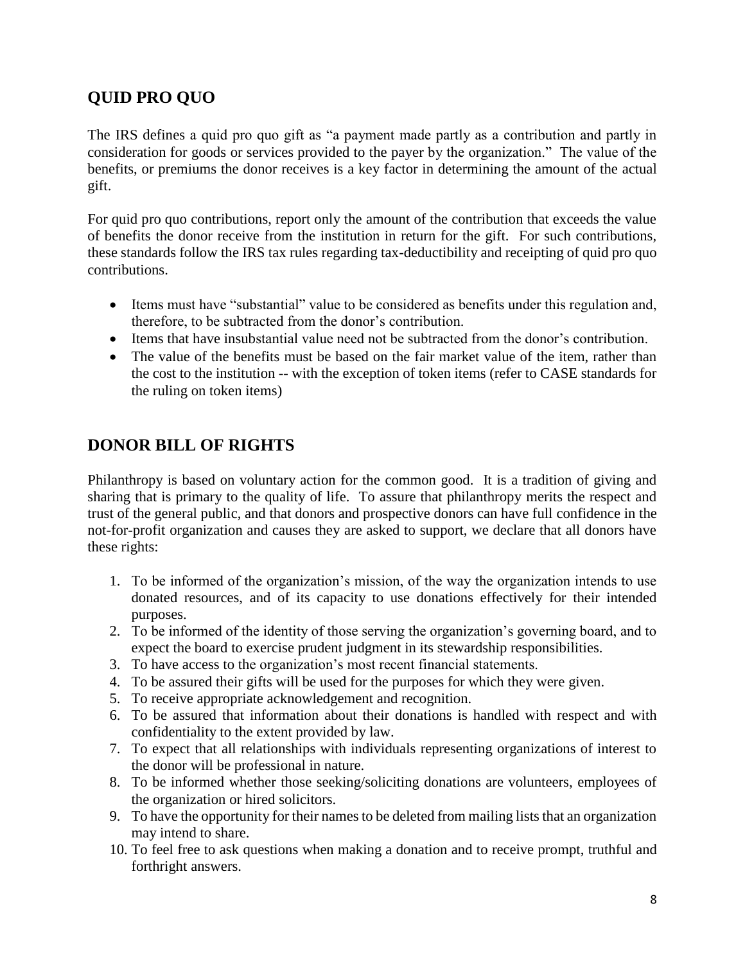# **QUID PRO QUO**

The IRS defines a quid pro quo gift as "a payment made partly as a contribution and partly in consideration for goods or services provided to the payer by the organization." The value of the benefits, or premiums the donor receives is a key factor in determining the amount of the actual gift.

For quid pro quo contributions, report only the amount of the contribution that exceeds the value of benefits the donor receive from the institution in return for the gift. For such contributions, these standards follow the IRS tax rules regarding tax-deductibility and receipting of quid pro quo contributions.

- Items must have "substantial" value to be considered as benefits under this regulation and, therefore, to be subtracted from the donor's contribution.
- Items that have insubstantial value need not be subtracted from the donor's contribution.
- The value of the benefits must be based on the fair market value of the item, rather than the cost to the institution -- with the exception of token items (refer to CASE standards for the ruling on token items)

### **DONOR BILL OF RIGHTS**

Philanthropy is based on voluntary action for the common good. It is a tradition of giving and sharing that is primary to the quality of life. To assure that philanthropy merits the respect and trust of the general public, and that donors and prospective donors can have full confidence in the not-for-profit organization and causes they are asked to support, we declare that all donors have these rights:

- 1. To be informed of the organization's mission, of the way the organization intends to use donated resources, and of its capacity to use donations effectively for their intended purposes.
- 2. To be informed of the identity of those serving the organization's governing board, and to expect the board to exercise prudent judgment in its stewardship responsibilities.
- 3. To have access to the organization's most recent financial statements.
- 4. To be assured their gifts will be used for the purposes for which they were given.
- 5. To receive appropriate acknowledgement and recognition.
- 6. To be assured that information about their donations is handled with respect and with confidentiality to the extent provided by law.
- 7. To expect that all relationships with individuals representing organizations of interest to the donor will be professional in nature.
- 8. To be informed whether those seeking/soliciting donations are volunteers, employees of the organization or hired solicitors.
- 9. To have the opportunity for their names to be deleted from mailing lists that an organization may intend to share.
- 10. To feel free to ask questions when making a donation and to receive prompt, truthful and forthright answers.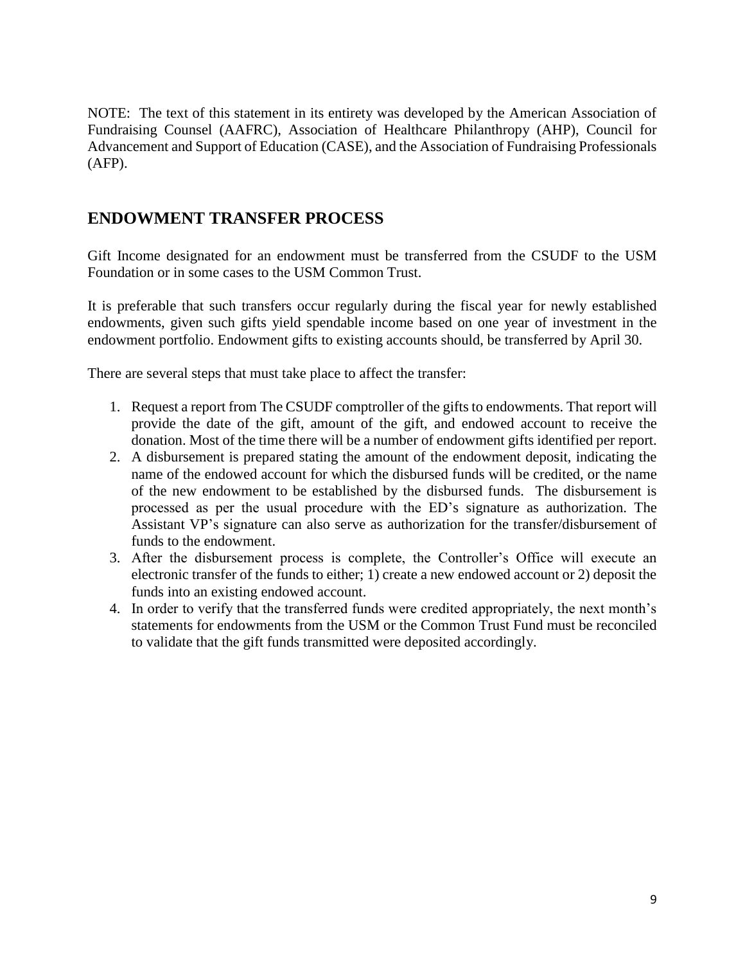NOTE: The text of this statement in its entirety was developed by the American Association of Fundraising Counsel (AAFRC), Association of Healthcare Philanthropy (AHP), Council for Advancement and Support of Education (CASE), and the Association of Fundraising Professionals (AFP).

### **ENDOWMENT TRANSFER PROCESS**

Gift Income designated for an endowment must be transferred from the CSUDF to the USM Foundation or in some cases to the USM Common Trust.

It is preferable that such transfers occur regularly during the fiscal year for newly established endowments, given such gifts yield spendable income based on one year of investment in the endowment portfolio. Endowment gifts to existing accounts should, be transferred by April 30.

There are several steps that must take place to affect the transfer:

- 1. Request a report from The CSUDF comptroller of the gifts to endowments. That report will provide the date of the gift, amount of the gift, and endowed account to receive the donation. Most of the time there will be a number of endowment gifts identified per report.
- 2. A disbursement is prepared stating the amount of the endowment deposit, indicating the name of the endowed account for which the disbursed funds will be credited, or the name of the new endowment to be established by the disbursed funds. The disbursement is processed as per the usual procedure with the ED's signature as authorization. The Assistant VP's signature can also serve as authorization for the transfer/disbursement of funds to the endowment.
- 3. After the disbursement process is complete, the Controller's Office will execute an electronic transfer of the funds to either; 1) create a new endowed account or 2) deposit the funds into an existing endowed account.
- 4. In order to verify that the transferred funds were credited appropriately, the next month's statements for endowments from the USM or the Common Trust Fund must be reconciled to validate that the gift funds transmitted were deposited accordingly.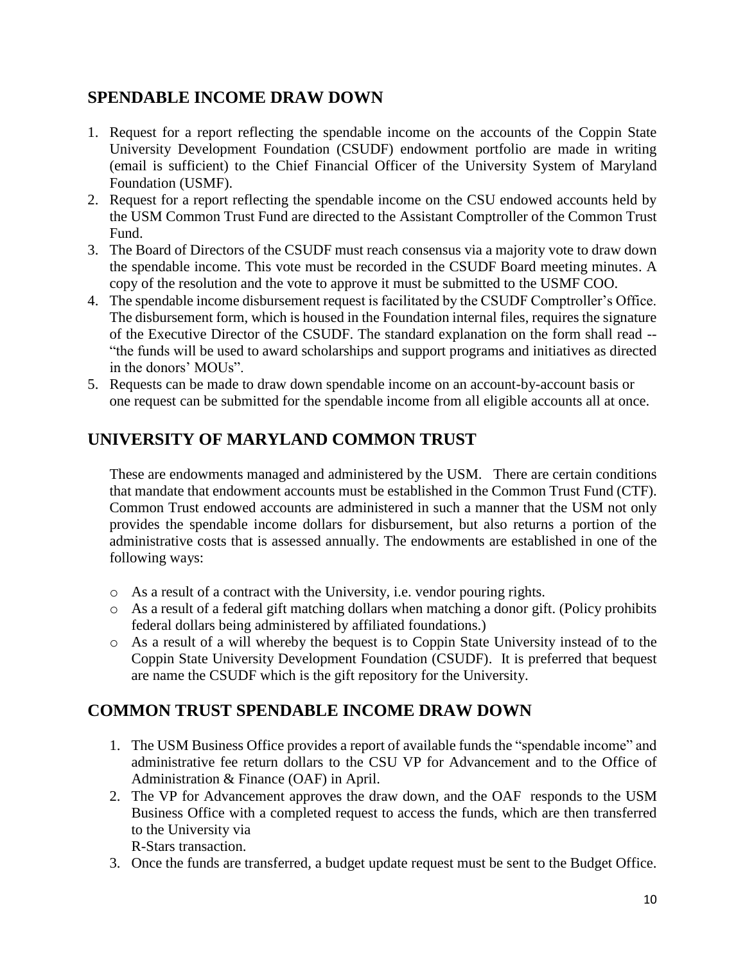### **SPENDABLE INCOME DRAW DOWN**

- 1. Request for a report reflecting the spendable income on the accounts of the Coppin State University Development Foundation (CSUDF) endowment portfolio are made in writing (email is sufficient) to the Chief Financial Officer of the University System of Maryland Foundation (USMF).
- 2. Request for a report reflecting the spendable income on the CSU endowed accounts held by the USM Common Trust Fund are directed to the Assistant Comptroller of the Common Trust Fund.
- 3. The Board of Directors of the CSUDF must reach consensus via a majority vote to draw down the spendable income. This vote must be recorded in the CSUDF Board meeting minutes. A copy of the resolution and the vote to approve it must be submitted to the USMF COO.
- 4. The spendable income disbursement request is facilitated by the CSUDF Comptroller's Office. The disbursement form, which is housed in the Foundation internal files, requires the signature of the Executive Director of the CSUDF. The standard explanation on the form shall read -- "the funds will be used to award scholarships and support programs and initiatives as directed in the donors' MOUs".
- 5. Requests can be made to draw down spendable income on an account-by-account basis or one request can be submitted for the spendable income from all eligible accounts all at once.

# **UNIVERSITY OF MARYLAND COMMON TRUST**

These are endowments managed and administered by the USM. There are certain conditions that mandate that endowment accounts must be established in the Common Trust Fund (CTF). Common Trust endowed accounts are administered in such a manner that the USM not only provides the spendable income dollars for disbursement, but also returns a portion of the administrative costs that is assessed annually. The endowments are established in one of the following ways:

- o As a result of a contract with the University, i.e. vendor pouring rights.
- o As a result of a federal gift matching dollars when matching a donor gift. (Policy prohibits federal dollars being administered by affiliated foundations.)
- o As a result of a will whereby the bequest is to Coppin State University instead of to the Coppin State University Development Foundation (CSUDF). It is preferred that bequest are name the CSUDF which is the gift repository for the University.

### **COMMON TRUST SPENDABLE INCOME DRAW DOWN**

- 1. The USM Business Office provides a report of available funds the "spendable income" and administrative fee return dollars to the CSU VP for Advancement and to the Office of Administration & Finance (OAF) in April.
- 2. The VP for Advancement approves the draw down, and the OAF responds to the USM Business Office with a completed request to access the funds, which are then transferred to the University via R-Stars transaction.
- 3. Once the funds are transferred, a budget update request must be sent to the Budget Office.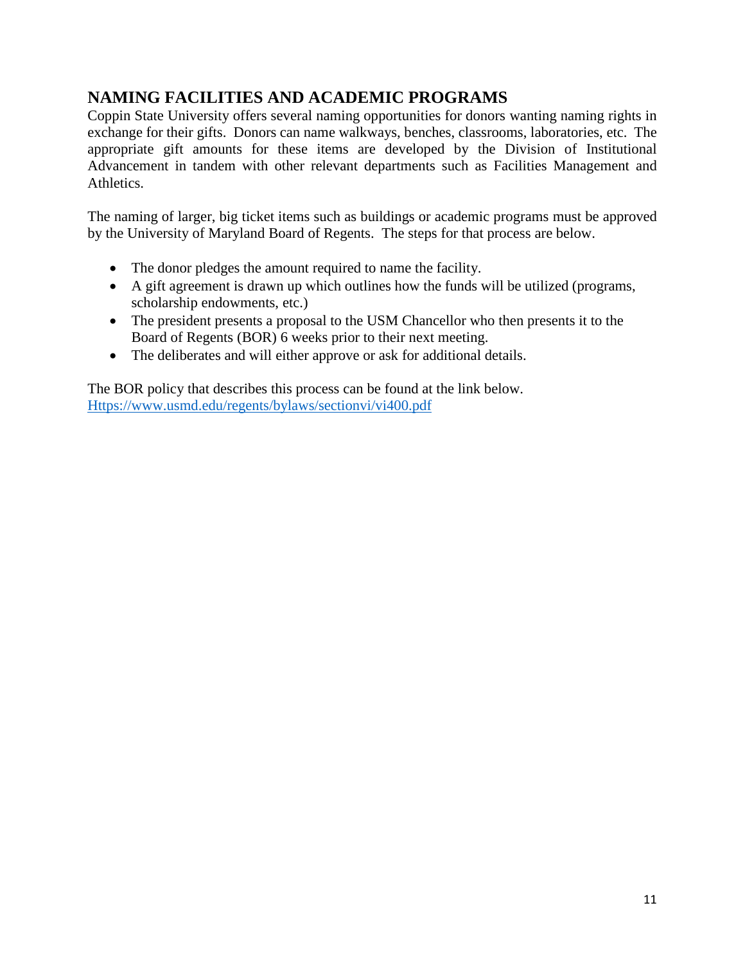# **NAMING FACILITIES AND ACADEMIC PROGRAMS**

Coppin State University offers several naming opportunities for donors wanting naming rights in exchange for their gifts. Donors can name walkways, benches, classrooms, laboratories, etc. The appropriate gift amounts for these items are developed by the Division of Institutional Advancement in tandem with other relevant departments such as Facilities Management and Athletics.

The naming of larger, big ticket items such as buildings or academic programs must be approved by the University of Maryland Board of Regents. The steps for that process are below.

- The donor pledges the amount required to name the facility.
- A gift agreement is drawn up which outlines how the funds will be utilized (programs, scholarship endowments, etc.)
- The president presents a proposal to the USM Chancellor who then presents it to the Board of Regents (BOR) 6 weeks prior to their next meeting.
- The deliberates and will either approve or ask for additional details.

The BOR policy that describes this process can be found at the link below. [Https://www.usmd.edu/regents/bylaws/sectionvi/vi400.pdf](https://www.usmd.edu/regents/bylaws/sectionvi/vi400.pdf)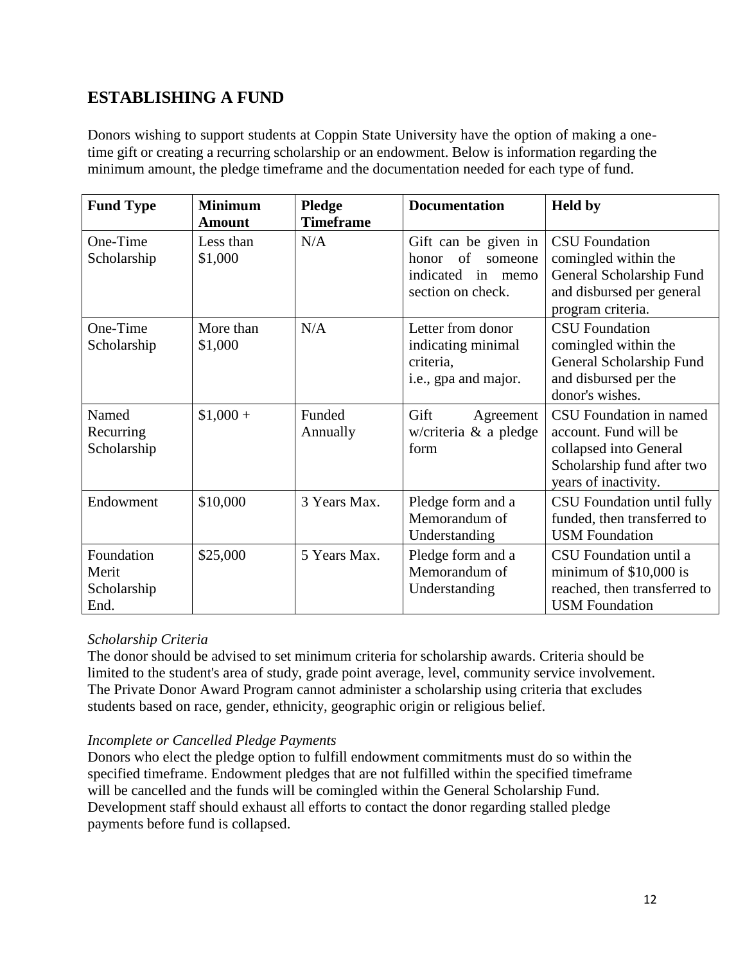### **ESTABLISHING A FUND**

Donors wishing to support students at Coppin State University have the option of making a onetime gift or creating a recurring scholarship or an endowment. Below is information regarding the minimum amount, the pledge timeframe and the documentation needed for each type of fund.

| <b>Fund Type</b>                           | <b>Minimum</b><br><b>Amount</b> | Pledge<br><b>Timeframe</b> | <b>Documentation</b>                                                                           | <b>Held by</b>                                                                                                                   |
|--------------------------------------------|---------------------------------|----------------------------|------------------------------------------------------------------------------------------------|----------------------------------------------------------------------------------------------------------------------------------|
| One-Time<br>Scholarship                    | Less than<br>\$1,000            | N/A                        | Gift can be given in<br>of<br>honor<br>someone<br>indicated<br>in<br>memo<br>section on check. | <b>CSU</b> Foundation<br>comingled within the<br>General Scholarship Fund<br>and disbursed per general<br>program criteria.      |
| One-Time<br>Scholarship                    | More than<br>\$1,000            | N/A                        | Letter from donor<br>indicating minimal<br>criteria,<br>i.e., gpa and major.                   | <b>CSU</b> Foundation<br>comingled within the<br>General Scholarship Fund<br>and disbursed per the<br>donor's wishes.            |
| Named<br>Recurring<br>Scholarship          | $$1,000 +$                      | Funded<br>Annually         | Gift<br>Agreement<br>w/criteria $\&$ a pledge<br>form                                          | CSU Foundation in named<br>account. Fund will be<br>collapsed into General<br>Scholarship fund after two<br>years of inactivity. |
| Endowment                                  | \$10,000                        | 3 Years Max.               | Pledge form and a<br>Memorandum of<br>Understanding                                            | CSU Foundation until fully<br>funded, then transferred to<br><b>USM</b> Foundation                                               |
| Foundation<br>Merit<br>Scholarship<br>End. | \$25,000                        | 5 Years Max.               | Pledge form and a<br>Memorandum of<br>Understanding                                            | CSU Foundation until a<br>minimum of $$10,000$ is<br>reached, then transferred to<br><b>USM</b> Foundation                       |

#### *Scholarship Criteria*

The donor should be advised to set minimum criteria for scholarship awards. Criteria should be limited to the student's area of study, grade point average, level, community service involvement. The Private Donor Award Program cannot administer a scholarship using criteria that excludes students based on race, gender, ethnicity, geographic origin or religious belief.

#### *Incomplete or Cancelled Pledge Payments*

Donors who elect the pledge option to fulfill endowment commitments must do so within the specified timeframe. Endowment pledges that are not fulfilled within the specified timeframe will be cancelled and the funds will be comingled within the General Scholarship Fund. Development staff should exhaust all efforts to contact the donor regarding stalled pledge payments before fund is collapsed.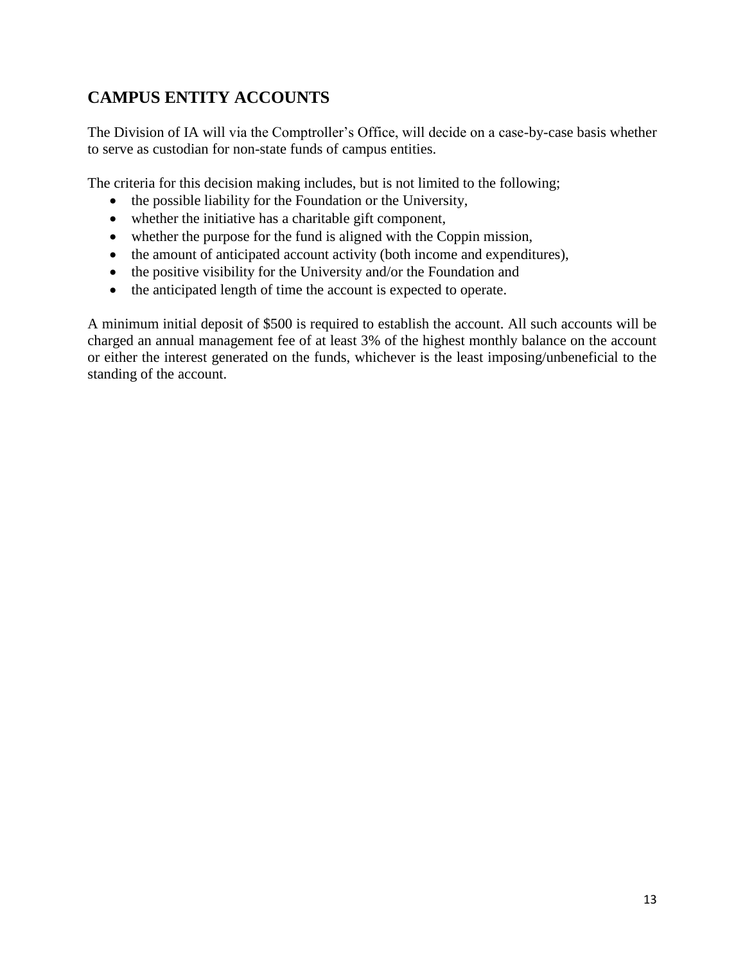# **CAMPUS ENTITY ACCOUNTS**

The Division of IA will via the Comptroller's Office, will decide on a case-by-case basis whether to serve as custodian for non-state funds of campus entities.

The criteria for this decision making includes, but is not limited to the following;

- the possible liability for the Foundation or the University,
- whether the initiative has a charitable gift component,
- whether the purpose for the fund is aligned with the Coppin mission,
- the amount of anticipated account activity (both income and expenditures),
- the positive visibility for the University and/or the Foundation and
- the anticipated length of time the account is expected to operate.

A minimum initial deposit of \$500 is required to establish the account. All such accounts will be charged an annual management fee of at least 3% of the highest monthly balance on the account or either the interest generated on the funds, whichever is the least imposing/unbeneficial to the standing of the account.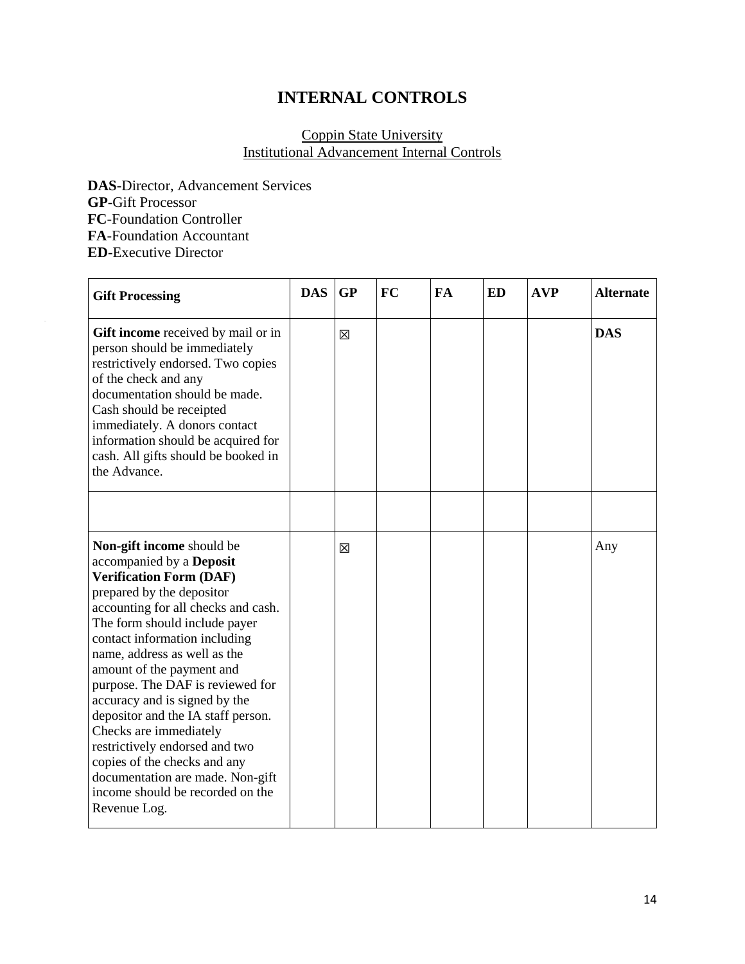# **INTERNAL CONTROLS**

#### Coppin State University Institutional Advancement Internal Controls

**DAS**-Director, Advancement Services **GP**-Gift Processor **FC**-Foundation Controller **FA**-Foundation Accountant **ED**-Executive Director

| <b>Gift Processing</b>                                                                                                                                                                                                                                                                                                                                                                                                                                                                                                                                                                    | <b>DAS</b> | GP | <b>FC</b> | <b>FA</b> | <b>ED</b> | <b>AVP</b> | <b>Alternate</b> |
|-------------------------------------------------------------------------------------------------------------------------------------------------------------------------------------------------------------------------------------------------------------------------------------------------------------------------------------------------------------------------------------------------------------------------------------------------------------------------------------------------------------------------------------------------------------------------------------------|------------|----|-----------|-----------|-----------|------------|------------------|
| Gift income received by mail or in<br>person should be immediately<br>restrictively endorsed. Two copies<br>of the check and any<br>documentation should be made.<br>Cash should be receipted<br>immediately. A donors contact<br>information should be acquired for<br>cash. All gifts should be booked in<br>the Advance.                                                                                                                                                                                                                                                               |            | 区  |           |           |           |            | <b>DAS</b>       |
| Non-gift income should be<br>accompanied by a Deposit<br><b>Verification Form (DAF)</b><br>prepared by the depositor<br>accounting for all checks and cash.<br>The form should include payer<br>contact information including<br>name, address as well as the<br>amount of the payment and<br>purpose. The DAF is reviewed for<br>accuracy and is signed by the<br>depositor and the IA staff person.<br>Checks are immediately<br>restrictively endorsed and two<br>copies of the checks and any<br>documentation are made. Non-gift<br>income should be recorded on the<br>Revenue Log. |            | X  |           |           |           |            | Any              |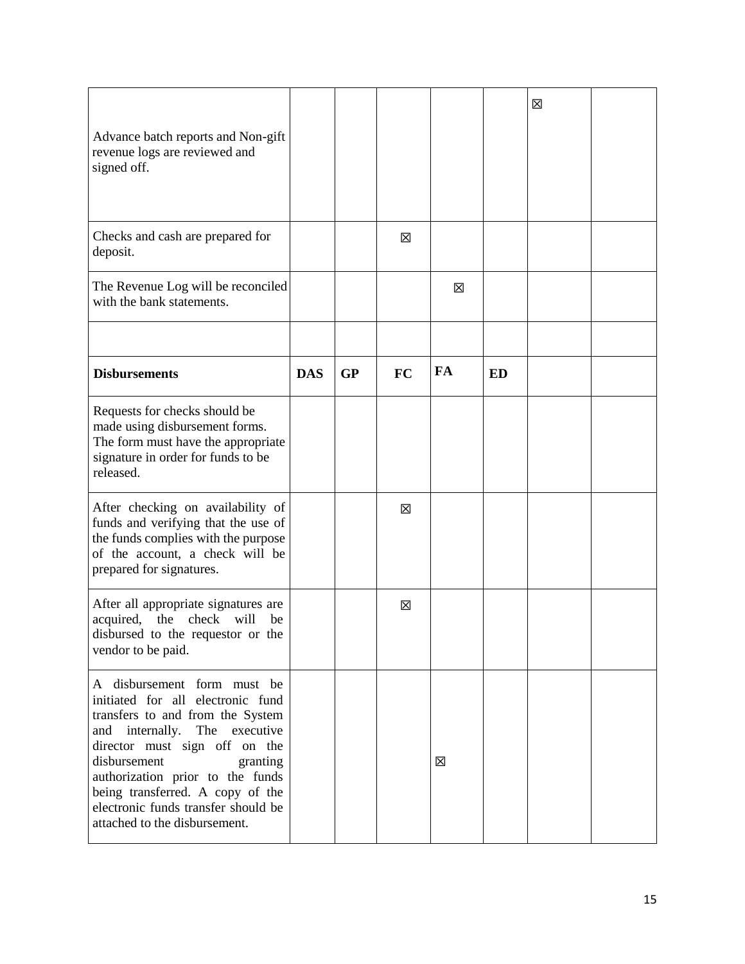| Advance batch reports and Non-gift<br>revenue logs are reviewed and<br>signed off.                                                                                                                                                                                                                                                                    |            |           |           |    |           | 区 |  |
|-------------------------------------------------------------------------------------------------------------------------------------------------------------------------------------------------------------------------------------------------------------------------------------------------------------------------------------------------------|------------|-----------|-----------|----|-----------|---|--|
| Checks and cash are prepared for<br>deposit.                                                                                                                                                                                                                                                                                                          |            |           | X         |    |           |   |  |
| The Revenue Log will be reconciled<br>with the bank statements.                                                                                                                                                                                                                                                                                       |            |           |           | ⊠  |           |   |  |
| <b>Disbursements</b>                                                                                                                                                                                                                                                                                                                                  | <b>DAS</b> | <b>GP</b> | <b>FC</b> | FA | <b>ED</b> |   |  |
| Requests for checks should be<br>made using disbursement forms.<br>The form must have the appropriate<br>signature in order for funds to be<br>released.                                                                                                                                                                                              |            |           |           |    |           |   |  |
| After checking on availability of<br>funds and verifying that the use of<br>the funds complies with the purpose<br>of the account, a check will be<br>prepared for signatures.                                                                                                                                                                        |            |           | 区         |    |           |   |  |
| After all appropriate signatures are<br>acquired, the check will<br>be<br>disbursed to the requestor or the<br>vendor to be paid.                                                                                                                                                                                                                     |            |           | 区         |    |           |   |  |
| A disbursement form must be<br>initiated for all electronic fund<br>transfers to and from the System<br>internally. The executive<br>and<br>director must sign off on the<br>disbursement<br>granting<br>authorization prior to the funds<br>being transferred. A copy of the<br>electronic funds transfer should be<br>attached to the disbursement. |            |           |           | X  |           |   |  |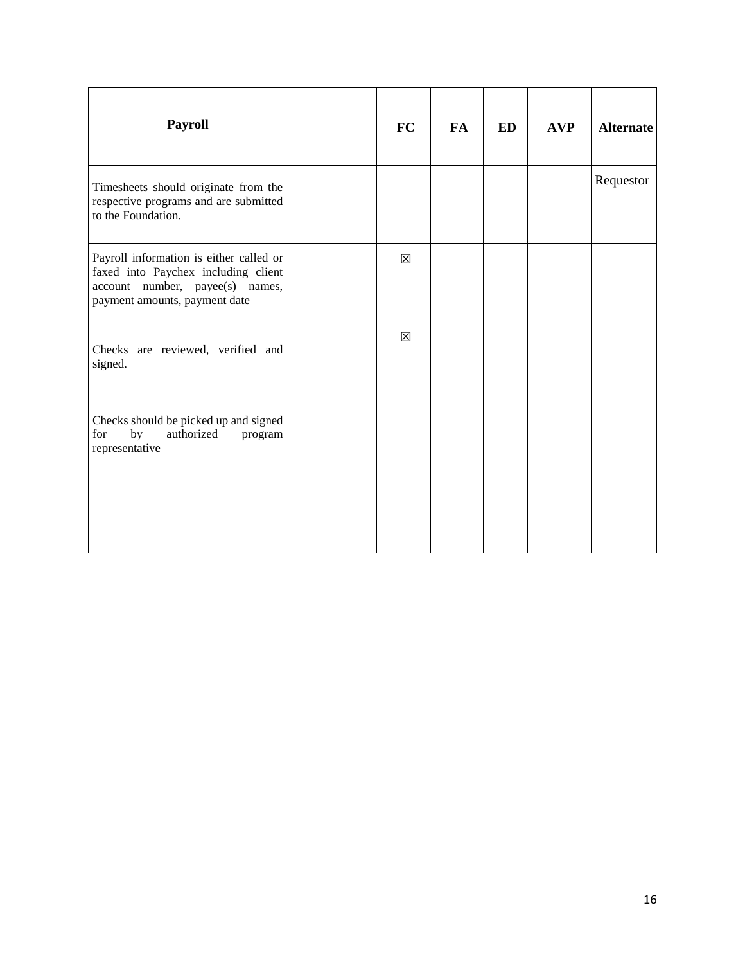| <b>Payroll</b>                                                                                                                                     |  | <b>FC</b>   | <b>FA</b> | <b>ED</b> | <b>AVP</b> | <b>Alternate</b> |
|----------------------------------------------------------------------------------------------------------------------------------------------------|--|-------------|-----------|-----------|------------|------------------|
| Timesheets should originate from the<br>respective programs and are submitted<br>to the Foundation.                                                |  |             |           |           |            | Requestor        |
| Payroll information is either called or<br>faxed into Paychex including client<br>account number, payee(s) names,<br>payment amounts, payment date |  | X           |           |           |            |                  |
| Checks are reviewed, verified and<br>signed.                                                                                                       |  | $\boxtimes$ |           |           |            |                  |
| Checks should be picked up and signed<br>by<br>authorized<br>for<br>program<br>representative                                                      |  |             |           |           |            |                  |
|                                                                                                                                                    |  |             |           |           |            |                  |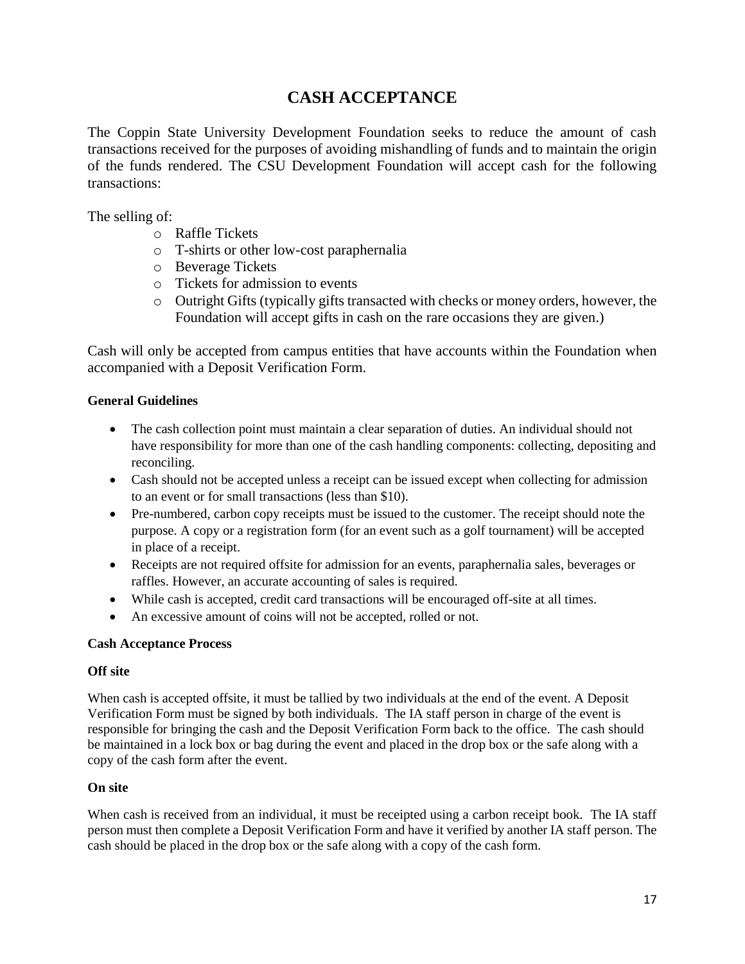### **CASH ACCEPTANCE**

The Coppin State University Development Foundation seeks to reduce the amount of cash transactions received for the purposes of avoiding mishandling of funds and to maintain the origin of the funds rendered. The CSU Development Foundation will accept cash for the following transactions:

The selling of:

- o Raffle Tickets
- o T-shirts or other low-cost paraphernalia
- o Beverage Tickets
- o Tickets for admission to events
- o Outright Gifts (typically gifts transacted with checks or money orders, however, the Foundation will accept gifts in cash on the rare occasions they are given.)

Cash will only be accepted from campus entities that have accounts within the Foundation when accompanied with a Deposit Verification Form.

#### **General Guidelines**

- The cash collection point must maintain a clear separation of duties. An individual should not have responsibility for more than one of the cash handling components: collecting, depositing and reconciling.
- Cash should not be accepted unless a receipt can be issued except when collecting for admission to an event or for small transactions (less than \$10).
- Pre-numbered, carbon copy receipts must be issued to the customer. The receipt should note the purpose. A copy or a registration form (for an event such as a golf tournament) will be accepted in place of a receipt.
- Receipts are not required offsite for admission for an events, paraphernalia sales, beverages or raffles. However, an accurate accounting of sales is required.
- While cash is accepted, credit card transactions will be encouraged off-site at all times.
- An excessive amount of coins will not be accepted, rolled or not.

#### **Cash Acceptance Process**

#### **Off site**

When cash is accepted offsite, it must be tallied by two individuals at the end of the event. A Deposit Verification Form must be signed by both individuals. The IA staff person in charge of the event is responsible for bringing the cash and the Deposit Verification Form back to the office. The cash should be maintained in a lock box or bag during the event and placed in the drop box or the safe along with a copy of the cash form after the event.

#### **On site**

When cash is received from an individual, it must be receipted using a carbon receipt book. The IA staff person must then complete a Deposit Verification Form and have it verified by another IA staff person. The cash should be placed in the drop box or the safe along with a copy of the cash form.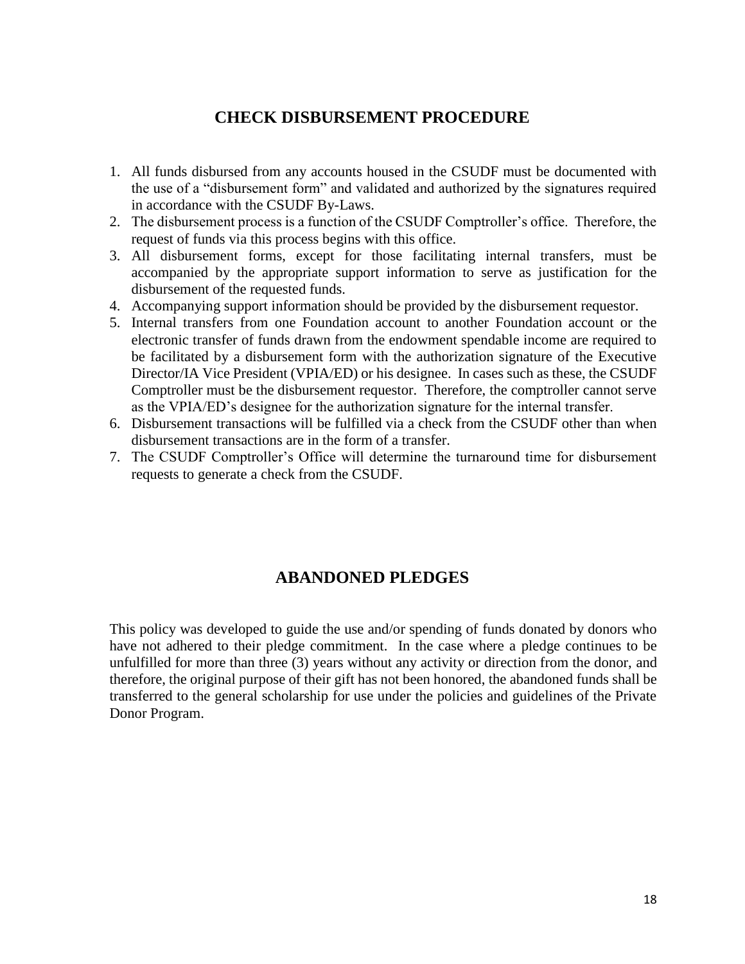### **CHECK DISBURSEMENT PROCEDURE**

- 1. All funds disbursed from any accounts housed in the CSUDF must be documented with the use of a "disbursement form" and validated and authorized by the signatures required in accordance with the CSUDF By-Laws.
- 2. The disbursement process is a function of the CSUDF Comptroller's office. Therefore, the request of funds via this process begins with this office.
- 3. All disbursement forms, except for those facilitating internal transfers, must be accompanied by the appropriate support information to serve as justification for the disbursement of the requested funds.
- 4. Accompanying support information should be provided by the disbursement requestor.
- 5. Internal transfers from one Foundation account to another Foundation account or the electronic transfer of funds drawn from the endowment spendable income are required to be facilitated by a disbursement form with the authorization signature of the Executive Director/IA Vice President (VPIA/ED) or his designee. In cases such as these, the CSUDF Comptroller must be the disbursement requestor. Therefore, the comptroller cannot serve as the VPIA/ED's designee for the authorization signature for the internal transfer.
- 6. Disbursement transactions will be fulfilled via a check from the CSUDF other than when disbursement transactions are in the form of a transfer.
- 7. The CSUDF Comptroller's Office will determine the turnaround time for disbursement requests to generate a check from the CSUDF.

### **ABANDONED PLEDGES**

This policy was developed to guide the use and/or spending of funds donated by donors who have not adhered to their pledge commitment. In the case where a pledge continues to be unfulfilled for more than three (3) years without any activity or direction from the donor, and therefore, the original purpose of their gift has not been honored, the abandoned funds shall be transferred to the general scholarship for use under the policies and guidelines of the Private Donor Program.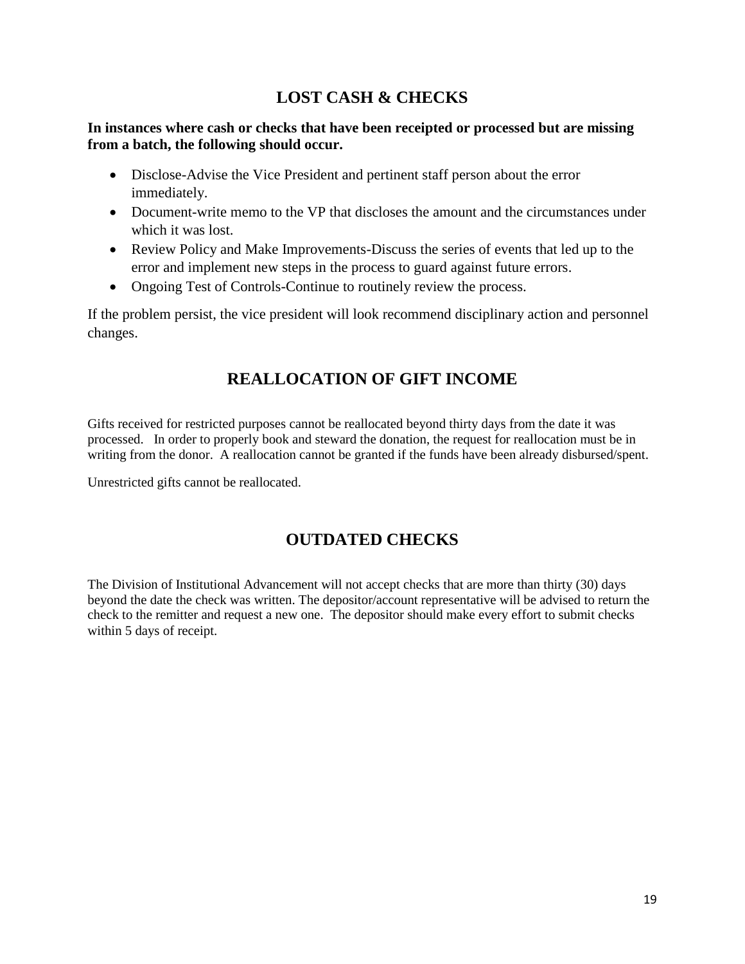### **LOST CASH & CHECKS**

#### **In instances where cash or checks that have been receipted or processed but are missing from a batch, the following should occur.**

- Disclose-Advise the Vice President and pertinent staff person about the error immediately.
- Document-write memo to the VP that discloses the amount and the circumstances under which it was lost.
- Review Policy and Make Improvements-Discuss the series of events that led up to the error and implement new steps in the process to guard against future errors.
- Ongoing Test of Controls-Continue to routinely review the process.

If the problem persist, the vice president will look recommend disciplinary action and personnel changes.

## **REALLOCATION OF GIFT INCOME**

Gifts received for restricted purposes cannot be reallocated beyond thirty days from the date it was processed. In order to properly book and steward the donation, the request for reallocation must be in writing from the donor. A reallocation cannot be granted if the funds have been already disbursed/spent.

Unrestricted gifts cannot be reallocated.

### **OUTDATED CHECKS**

The Division of Institutional Advancement will not accept checks that are more than thirty (30) days beyond the date the check was written. The depositor/account representative will be advised to return the check to the remitter and request a new one. The depositor should make every effort to submit checks within 5 days of receipt.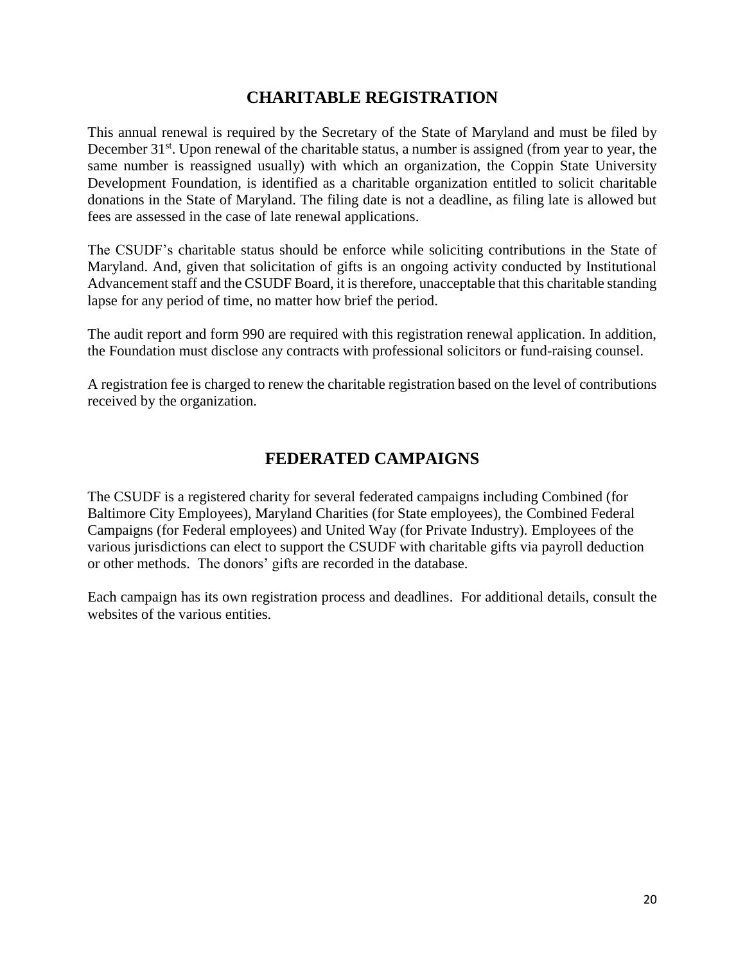### **CHARITABLE REGISTRATION**

This annual renewal is required by the Secretary of the State of Maryland and must be filed by December  $31<sup>st</sup>$ . Upon renewal of the charitable status, a number is assigned (from year to year, the same number is reassigned usually) with which an organization, the Coppin State University Development Foundation, is identified as a charitable organization entitled to solicit charitable donations in the State of Maryland. The filing date is not a deadline, as filing late is allowed but fees are assessed in the case of late renewal applications.

The CSUDF's charitable status should be enforce while soliciting contributions in the State of Maryland. And, given that solicitation of gifts is an ongoing activity conducted by Institutional Advancement staff and the CSUDF Board, it is therefore, unacceptable that this charitable standing lapse for any period of time, no matter how brief the period.

The audit report and form 990 are required with this registration renewal application. In addition, the Foundation must disclose any contracts with professional solicitors or fund-raising counsel.

A registration fee is charged to renew the charitable registration based on the level of contributions received by the organization.

### **FEDERATED CAMPAIGNS**

The CSUDF is a registered charity for several federated campaigns including Combined (for Baltimore City Employees), Maryland Charities (for State employees), the Combined Federal Campaigns (for Federal employees) and United Way (for Private Industry). Employees of the various jurisdictions can elect to support the CSUDF with charitable gifts via payroll deduction or other methods. The donors' gifts are recorded in the database.

Each campaign has its own registration process and deadlines. For additional details, consult the websites of the various entities.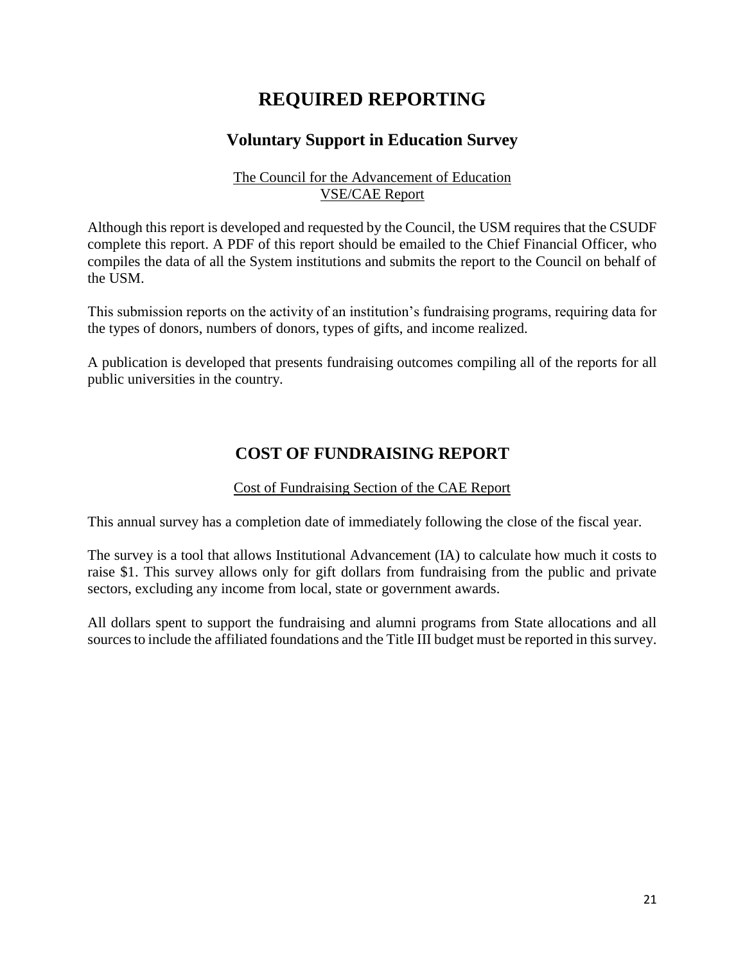# **REQUIRED REPORTING**

### **Voluntary Support in Education Survey**

#### The Council for the Advancement of Education VSE/CAE Report

Although this report is developed and requested by the Council, the USM requires that the CSUDF complete this report. A PDF of this report should be emailed to the Chief Financial Officer, who compiles the data of all the System institutions and submits the report to the Council on behalf of the USM.

This submission reports on the activity of an institution's fundraising programs, requiring data for the types of donors, numbers of donors, types of gifts, and income realized.

A publication is developed that presents fundraising outcomes compiling all of the reports for all public universities in the country.

### **COST OF FUNDRAISING REPORT**

#### Cost of Fundraising Section of the CAE Report

This annual survey has a completion date of immediately following the close of the fiscal year.

The survey is a tool that allows Institutional Advancement (IA) to calculate how much it costs to raise \$1. This survey allows only for gift dollars from fundraising from the public and private sectors, excluding any income from local, state or government awards.

All dollars spent to support the fundraising and alumni programs from State allocations and all sources to include the affiliated foundations and the Title III budget must be reported in this survey.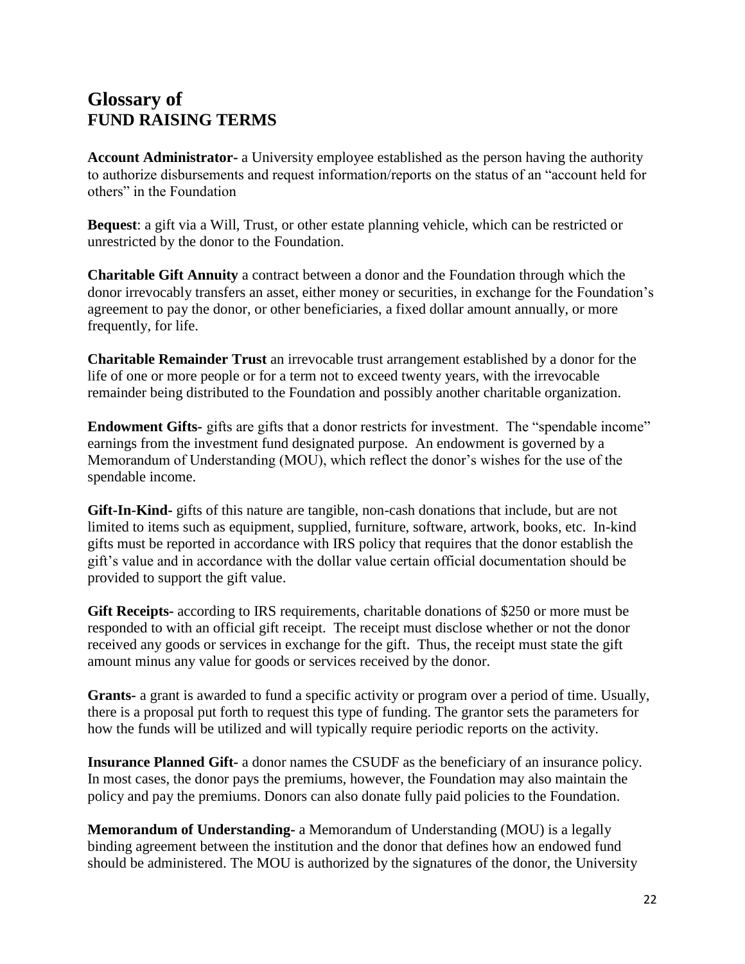# **Glossary of FUND RAISING TERMS**

**Account Administrator-** a University employee established as the person having the authority to authorize disbursements and request information/reports on the status of an "account held for others" in the Foundation

**Bequest**: a gift via a Will, Trust, or other estate planning vehicle, which can be restricted or unrestricted by the donor to the Foundation.

**Charitable Gift Annuity** a contract between a donor and the Foundation through which the donor irrevocably transfers an asset, either money or securities, in exchange for the Foundation's agreement to pay the donor, or other beneficiaries, a fixed dollar amount annually, or more frequently, for life.

**Charitable Remainder Trust** an irrevocable trust arrangement established by a donor for the life of one or more people or for a term not to exceed twenty years, with the irrevocable remainder being distributed to the Foundation and possibly another charitable organization.

**Endowment Gifts-** gifts are gifts that a donor restricts for investment. The "spendable income" earnings from the investment fund designated purpose. An endowment is governed by a Memorandum of Understanding (MOU), which reflect the donor's wishes for the use of the spendable income.

**Gift-In-Kind-** gifts of this nature are tangible, non-cash donations that include, but are not limited to items such as equipment, supplied, furniture, software, artwork, books, etc. In-kind gifts must be reported in accordance with IRS policy that requires that the donor establish the gift's value and in accordance with the dollar value certain official documentation should be provided to support the gift value.

**Gift Receipts-** according to IRS requirements, charitable donations of \$250 or more must be responded to with an official gift receipt. The receipt must disclose whether or not the donor received any goods or services in exchange for the gift. Thus, the receipt must state the gift amount minus any value for goods or services received by the donor.

**Grants-** a grant is awarded to fund a specific activity or program over a period of time. Usually, there is a proposal put forth to request this type of funding. The grantor sets the parameters for how the funds will be utilized and will typically require periodic reports on the activity.

**Insurance Planned Gift-** a donor names the CSUDF as the beneficiary of an insurance policy. In most cases, the donor pays the premiums, however, the Foundation may also maintain the policy and pay the premiums. Donors can also donate fully paid policies to the Foundation.

**Memorandum of Understanding-** a Memorandum of Understanding (MOU) is a legally binding agreement between the institution and the donor that defines how an endowed fund should be administered. The MOU is authorized by the signatures of the donor, the University